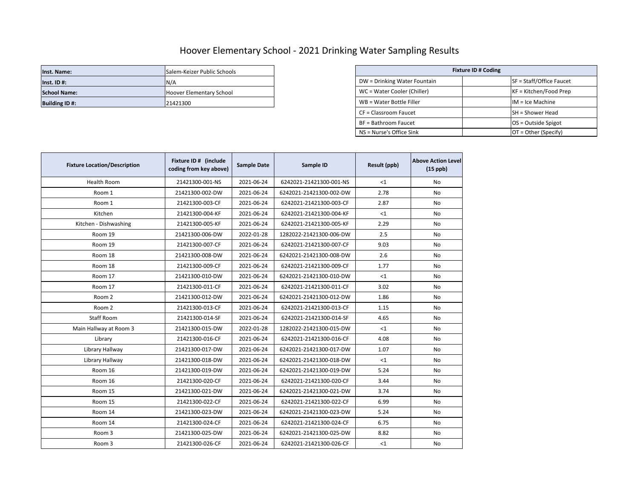## Hoover Elementary School - 2021 Drinking Water Sampling Results

| Inst. Name:          | Salem-Keizer Public Schools | <b>Fixture ID # Coding</b>   |  |                          |
|----------------------|-----------------------------|------------------------------|--|--------------------------|
| $Inst.$ ID#:         | N/A                         | DW = Drinking Water Fountain |  | SF = Staff/Office Faucet |
| <b>School Name:</b>  | Hoover Elementary School    | WC = Water Cooler (Chiller)  |  | $KF = Kitchen/Food Prep$ |
| <b>Building ID#:</b> | 21421300                    | WB = Water Bottle Filler     |  | IM = Ice Machine         |

| Salem-Keizer Public Schools | <b>Fixture ID # Coding</b>   |                            |  |
|-----------------------------|------------------------------|----------------------------|--|
| N/A                         | DW = Drinking Water Fountain | $SF = Staff/Office Faucet$ |  |
| Hoover Elementary School    | WC = Water Cooler (Chiller)  | $KF = Kitchen/Food Prep$   |  |
| 21421300                    | WB = Water Bottle Filler     | $IM = Ice Machine$         |  |
|                             | CF = Classroom Faucet        | <b>SH</b> = Shower Head    |  |
|                             | BF = Bathroom Faucet         | $OS = Outside Spigot$      |  |
|                             | NS = Nurse's Office Sink     | $OT = Other (Specify)$     |  |

| <b>Fixture Location/Description</b> | Fixture ID # (include<br>coding from key above) | <b>Sample Date</b> | Sample ID               | Result (ppb) | <b>Above Action Level</b><br>$(15$ ppb) |
|-------------------------------------|-------------------------------------------------|--------------------|-------------------------|--------------|-----------------------------------------|
| <b>Health Room</b>                  | 21421300-001-NS                                 | 2021-06-24         | 6242021-21421300-001-NS | <1           | No                                      |
| Room 1                              | 21421300-002-DW                                 | 2021-06-24         | 6242021-21421300-002-DW | 2.78         | No                                      |
| Room 1                              | 21421300-003-CF                                 | 2021-06-24         | 6242021-21421300-003-CF | 2.87         | No                                      |
| Kitchen                             | 21421300-004-KF                                 | 2021-06-24         | 6242021-21421300-004-KF | <1           | No                                      |
| Kitchen - Dishwashing               | 21421300-005-KF                                 | 2021-06-24         | 6242021-21421300-005-KF | 2.29         | No                                      |
| Room 19                             | 21421300-006-DW                                 | 2022-01-28         | 1282022-21421300-006-DW | 2.5          | No                                      |
| Room 19                             | 21421300-007-CF                                 | 2021-06-24         | 6242021-21421300-007-CF | 9.03         | <b>No</b>                               |
| Room 18                             | 21421300-008-DW                                 | 2021-06-24         | 6242021-21421300-008-DW | 2.6          | No                                      |
| Room 18                             | 21421300-009-CF                                 | 2021-06-24         | 6242021-21421300-009-CF | 1.77         | No                                      |
| Room 17                             | 21421300-010-DW                                 | 2021-06-24         | 6242021-21421300-010-DW | <1           | No                                      |
| Room 17                             | 21421300-011-CF                                 | 2021-06-24         | 6242021-21421300-011-CF | 3.02         | No                                      |
| Room 2                              | 21421300-012-DW                                 | 2021-06-24         | 6242021-21421300-012-DW | 1.86         | No                                      |
| Room 2                              | 21421300-013-CF                                 | 2021-06-24         | 6242021-21421300-013-CF | 1.15         | No                                      |
| <b>Staff Room</b>                   | 21421300-014-SF                                 | 2021-06-24         | 6242021-21421300-014-SF | 4.65         | No                                      |
| Main Hallway at Room 3              | 21421300-015-DW                                 | 2022-01-28         | 1282022-21421300-015-DW | $<$ 1        | No                                      |
| Library                             | 21421300-016-CF                                 | 2021-06-24         | 6242021-21421300-016-CF | 4.08         | No                                      |
| Library Hallway                     | 21421300-017-DW                                 | 2021-06-24         | 6242021-21421300-017-DW | 1.07         | No                                      |
| Library Hallway                     | 21421300-018-DW                                 | 2021-06-24         | 6242021-21421300-018-DW | $\leq 1$     | <b>No</b>                               |
| Room 16                             | 21421300-019-DW                                 | 2021-06-24         | 6242021-21421300-019-DW | 5.24         | No                                      |
| Room 16                             | 21421300-020-CF                                 | 2021-06-24         | 6242021-21421300-020-CF | 3.44         | No                                      |
| Room 15                             | 21421300-021-DW                                 | 2021-06-24         | 6242021-21421300-021-DW | 3.74         | <b>No</b>                               |
| Room 15                             | 21421300-022-CF                                 | 2021-06-24         | 6242021-21421300-022-CF | 6.99         | No                                      |
| Room 14                             | 21421300-023-DW                                 | 2021-06-24         | 6242021-21421300-023-DW | 5.24         | No                                      |
| Room 14                             | 21421300-024-CF                                 | 2021-06-24         | 6242021-21421300-024-CF | 6.75         | No                                      |
| Room 3                              | 21421300-025-DW                                 | 2021-06-24         | 6242021-21421300-025-DW | 8.82         | No                                      |
| Room 3                              | 21421300-026-CF                                 | 2021-06-24         | 6242021-21421300-026-CF | <1           | No                                      |